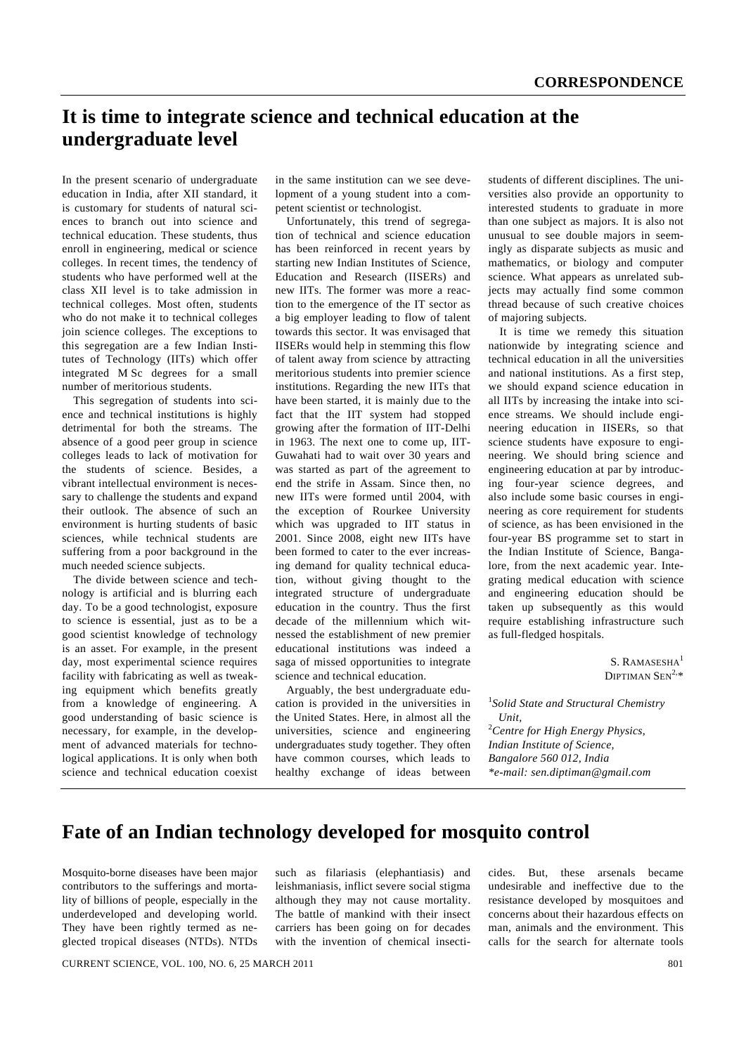## **It is time to integrate science and technical education at the undergraduate level**

In the present scenario of undergraduate education in India, after XII standard, it is customary for students of natural sciences to branch out into science and technical education. These students, thus enroll in engineering, medical or science colleges. In recent times, the tendency of students who have performed well at the class XII level is to take admission in technical colleges. Most often, students who do not make it to technical colleges join science colleges. The exceptions to this segregation are a few Indian Institutes of Technology (IITs) which offer integrated M Sc degrees for a small number of meritorious students.

 This segregation of students into science and technical institutions is highly detrimental for both the streams. The absence of a good peer group in science colleges leads to lack of motivation for the students of science. Besides, a vibrant intellectual environment is necessary to challenge the students and expand their outlook. The absence of such an environment is hurting students of basic sciences, while technical students are suffering from a poor background in the much needed science subjects.

 The divide between science and technology is artificial and is blurring each day. To be a good technologist, exposure to science is essential, just as to be a good scientist knowledge of technology is an asset. For example, in the present day, most experimental science requires facility with fabricating as well as tweaking equipment which benefits greatly from a knowledge of engineering. A good understanding of basic science is necessary, for example, in the development of advanced materials for technological applications. It is only when both science and technical education coexist

in the same institution can we see development of a young student into a competent scientist or technologist.

 Unfortunately, this trend of segregation of technical and science education has been reinforced in recent years by starting new Indian Institutes of Science, Education and Research (IISERs) and new IITs. The former was more a reaction to the emergence of the IT sector as a big employer leading to flow of talent towards this sector. It was envisaged that IISERs would help in stemming this flow of talent away from science by attracting meritorious students into premier science institutions. Regarding the new IITs that have been started, it is mainly due to the fact that the IIT system had stopped growing after the formation of IIT-Delhi in 1963. The next one to come up, IIT-Guwahati had to wait over 30 years and was started as part of the agreement to end the strife in Assam. Since then, no new IITs were formed until 2004, with the exception of Rourkee University which was upgraded to IIT status in 2001. Since 2008, eight new IITs have been formed to cater to the ever increasing demand for quality technical education, without giving thought to the integrated structure of undergraduate education in the country. Thus the first decade of the millennium which witnessed the establishment of new premier educational institutions was indeed a saga of missed opportunities to integrate science and technical education.

 Arguably, the best undergraduate education is provided in the universities in the United States. Here, in almost all the universities, science and engineering undergraduates study together. They often have common courses, which leads to healthy exchange of ideas between students of different disciplines. The universities also provide an opportunity to interested students to graduate in more than one subject as majors. It is also not unusual to see double majors in seemingly as disparate subjects as music and mathematics, or biology and computer science. What appears as unrelated subjects may actually find some common thread because of such creative choices of majoring subjects.

 It is time we remedy this situation nationwide by integrating science and technical education in all the universities and national institutions. As a first step, we should expand science education in all IITs by increasing the intake into science streams. We should include engineering education in IISERs, so that science students have exposure to engineering. We should bring science and engineering education at par by introducing four-year science degrees, and also include some basic courses in engineering as core requirement for students of science, as has been envisioned in the four-year BS programme set to start in the Indian Institute of Science, Bangalore, from the next academic year. Integrating medical education with science and engineering education should be taken up subsequently as this would require establishing infrastructure such as full-fledged hospitals.

> S. RAMASESHA<sup>1</sup> DIPTIMAN  $SEN^{2,*}$

1 *Solid State and Structural Chemistry Unit,*  2 *Centre for High Energy Physics, Indian Institute of Science, Bangalore 560 012, India \*e-mail: sen.diptiman@gmail.com* 

## **Fate of an Indian technology developed for mosquito control**

Mosquito-borne diseases have been major contributors to the sufferings and mortality of billions of people, especially in the underdeveloped and developing world. They have been rightly termed as neglected tropical diseases (NTDs). NTDs such as filariasis (elephantiasis) and leishmaniasis, inflict severe social stigma although they may not cause mortality. The battle of mankind with their insect carriers has been going on for decades with the invention of chemical insecticides. But, these arsenals became undesirable and ineffective due to the resistance developed by mosquitoes and concerns about their hazardous effects on man, animals and the environment. This calls for the search for alternate tools

CURRENT SCIENCE, VOL. 100, NO. 6, 25 MARCH 2011 801